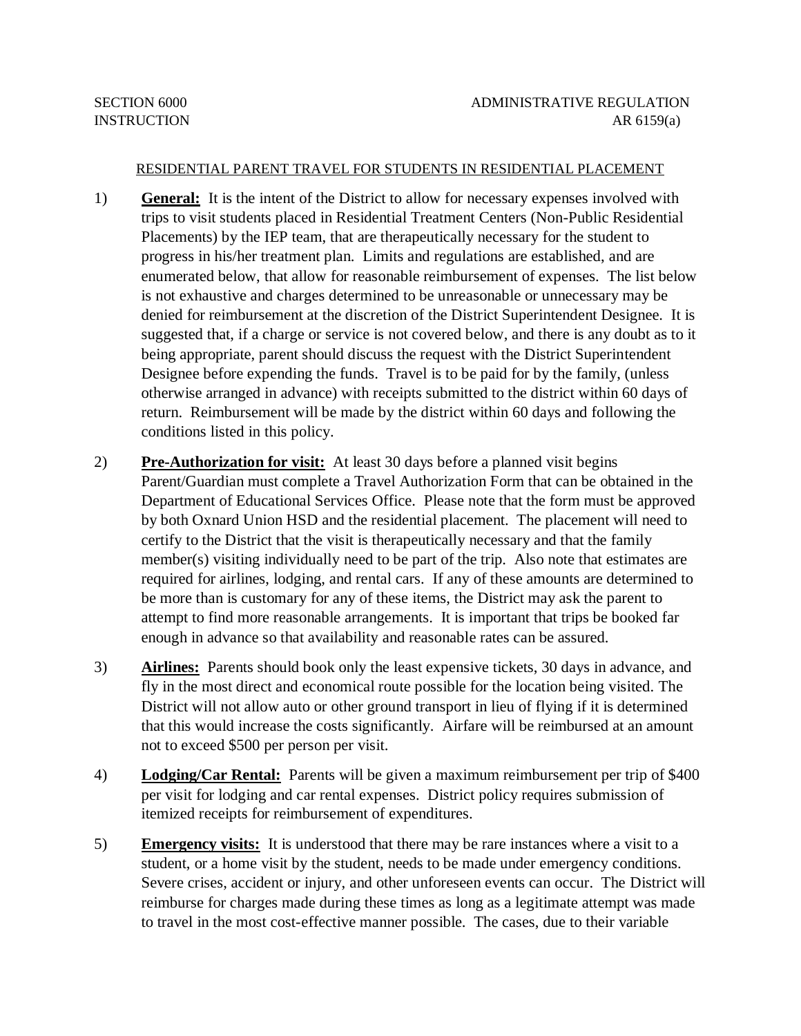## RESIDENTIAL PARENT TRAVEL FOR STUDENTS IN RESIDENTIAL PLACEMENT

- 1) **General:** It is the intent of the District to allow for necessary expenses involved with trips to visit students placed in Residential Treatment Centers (Non-Public Residential Placements) by the IEP team, that are therapeutically necessary for the student to progress in his/her treatment plan. Limits and regulations are established, and are enumerated below, that allow for reasonable reimbursement of expenses. The list below is not exhaustive and charges determined to be unreasonable or unnecessary may be denied for reimbursement at the discretion of the District Superintendent Designee. It is suggested that, if a charge or service is not covered below, and there is any doubt as to it being appropriate, parent should discuss the request with the District Superintendent Designee before expending the funds. Travel is to be paid for by the family, (unless otherwise arranged in advance) with receipts submitted to the district within 60 days of return. Reimbursement will be made by the district within 60 days and following the conditions listed in this policy.
- 2) **Pre-Authorization for visit:** At least 30 days before a planned visit begins Parent/Guardian must complete a Travel Authorization Form that can be obtained in the Department of Educational Services Office. Please note that the form must be approved by both Oxnard Union HSD and the residential placement. The placement will need to certify to the District that the visit is therapeutically necessary and that the family member(s) visiting individually need to be part of the trip. Also note that estimates are required for airlines, lodging, and rental cars. If any of these amounts are determined to be more than is customary for any of these items, the District may ask the parent to attempt to find more reasonable arrangements. It is important that trips be booked far enough in advance so that availability and reasonable rates can be assured.
- 3) **Airlines:** Parents should book only the least expensive tickets, 30 days in advance, and fly in the most direct and economical route possible for the location being visited. The District will not allow auto or other ground transport in lieu of flying if it is determined that this would increase the costs significantly. Airfare will be reimbursed at an amount not to exceed \$500 per person per visit.
- 4) **Lodging/Car Rental:** Parents will be given a maximum reimbursement per trip of \$400 per visit for lodging and car rental expenses. District policy requires submission of itemized receipts for reimbursement of expenditures.
- 5) **Emergency visits:** It is understood that there may be rare instances where a visit to a student, or a home visit by the student, needs to be made under emergency conditions. Severe crises, accident or injury, and other unforeseen events can occur. The District will reimburse for charges made during these times as long as a legitimate attempt was made to travel in the most cost-effective manner possible. The cases, due to their variable